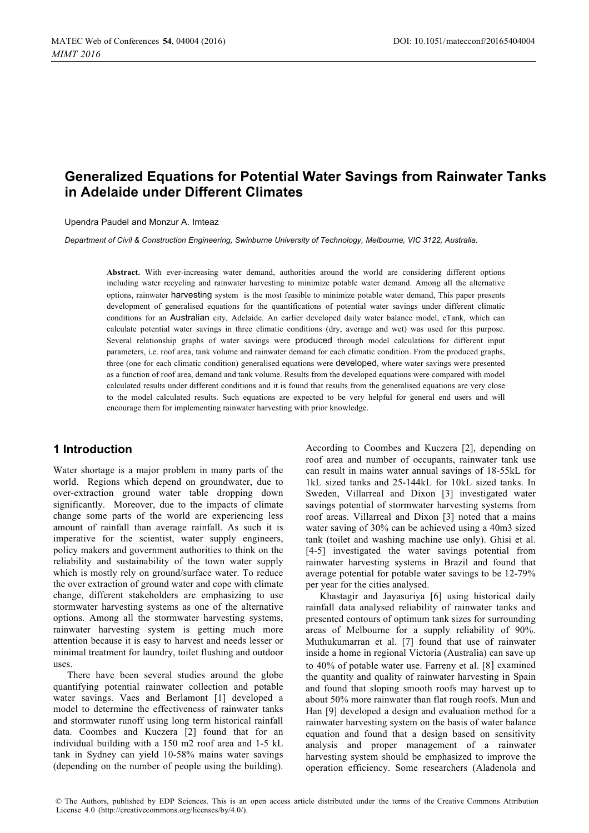# **Generalized Equations for Potential Water Savings from Rainwater Tanks in Adelaide under Different Climates**

Upendra Paudel and Monzur A. Imteaz

*Department of Civil & Construction Engineering, Swinburne University of Technology, Melbourne, VIC 3122, Australia.* 

**Abstract.** With ever-increasing water demand, authorities around the world are considering different options including water recycling and rainwater harvesting to minimize potable water demand. Among all the alternative options, rainwater harvesting system is the most feasible to minimize potable water demand, This paper presents development of generalised equations for the quantifications of potential water savings under different climatic conditions for an Australian city, Adelaide. An earlier developed daily water balance model, eTank, which can calculate potential water savings in three climatic conditions (dry, average and wet) was used for this purpose. Several relationship graphs of water savings were produced through model calculations for different input parameters, i.e. roof area, tank volume and rainwater demand for each climatic condition. From the produced graphs, three (one for each climatic condition) generalised equations were developed, where water savings were presented as a function of roof area, demand and tank volume. Results from the developed equations were compared with model calculated results under different conditions and it is found that results from the generalised equations are very close to the model calculated results. Such equations are expected to be very helpful for general end users and will encourage them for implementing rainwater harvesting with prior knowledge.

# **1 Introduction**

Water shortage is a major problem in many parts of the world. Regions which depend on groundwater, due to over-extraction ground water table dropping down significantly. Moreover, due to the impacts of climate change some parts of the world are experiencing less amount of rainfall than average rainfall. As such it is imperative for the scientist, water supply engineers, policy makers and government authorities to think on the reliability and sustainability of the town water supply which is mostly rely on ground/surface water. To reduce the over extraction of ground water and cope with climate change, different stakeholders are emphasizing to use stormwater harvesting systems as one of the alternative options. Among all the stormwater harvesting systems, rainwater harvesting system is getting much more attention because it is easy to harvest and needs lesser or minimal treatment for laundry, toilet flushing and outdoor uses.

There have been several studies around the globe quantifying potential rainwater collection and potable water savings. Vaes and Berlamont [1] developed a model to determine the effectiveness of rainwater tanks and stormwater runoff using long term historical rainfall data. Coombes and Kuczera [2] found that for an individual building with a 150 m2 roof area and 1-5 kL tank in Sydney can yield 10-58% mains water savings (depending on the number of people using the building). According to Coombes and Kuczera [2], depending on roof area and number of occupants, rainwater tank use can result in mains water annual savings of 18-55kL for 1kL sized tanks and 25-144kL for 10kL sized tanks. In Sweden, Villarreal and Dixon [3] investigated water savings potential of stormwater harvesting systems from roof areas. Villarreal and Dixon [3] noted that a mains water saving of 30% can be achieved using a 40m3 sized tank (toilet and washing machine use only). Ghisi et al. [4-5] investigated the water savings potential from rainwater harvesting systems in Brazil and found that average potential for potable water savings to be 12-79% per year for the cities analysed.

Khastagir and Jayasuriya [6] using historical daily rainfall data analysed reliability of rainwater tanks and presented contours of optimum tank sizes for surrounding areas of Melbourne for a supply reliability of 90%. Muthukumarran et al. [7] found that use of rainwater inside a home in regional Victoria (Australia) can save up to 40% of potable water use. Farreny et al. [8] examined the quantity and quality of rainwater harvesting in Spain and found that sloping smooth roofs may harvest up to about 50% more rainwater than flat rough roofs. Mun and Han [9] developed a design and evaluation method for a rainwater harvesting system on the basis of water balance equation and found that a design based on sensitivity analysis and proper management of a rainwater harvesting system should be emphasized to improve the operation efficiency. Some researchers (Aladenola and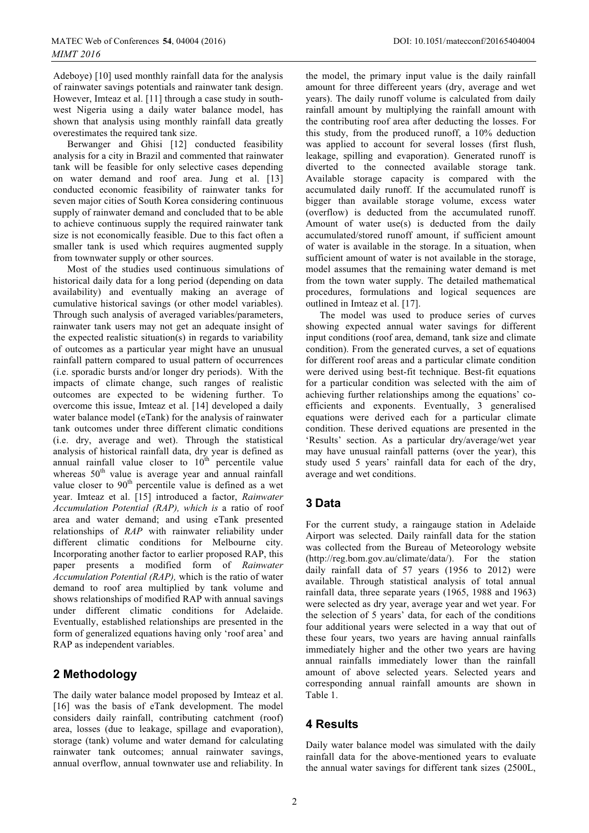Adeboye) [10] used monthly rainfall data for the analysis of rainwater savings potentials and rainwater tank design. However, Imteaz et al. [11] through a case study in southwest Nigeria using a daily water balance model, has shown that analysis using monthly rainfall data greatly overestimates the required tank size.

Berwanger and Ghisi [12] conducted feasibility analysis for a city in Brazil and commented that rainwater tank will be feasible for only selective cases depending on water demand and roof area. Jung et al. [13] conducted economic feasibility of rainwater tanks for seven major cities of South Korea considering continuous supply of rainwater demand and concluded that to be able to achieve continuous supply the required rainwater tank size is not economically feasible. Due to this fact often a smaller tank is used which requires augmented supply from townwater supply or other sources.

Most of the studies used continuous simulations of historical daily data for a long period (depending on data availability) and eventually making an average of cumulative historical savings (or other model variables). Through such analysis of averaged variables/parameters, rainwater tank users may not get an adequate insight of the expected realistic situation(s) in regards to variability of outcomes as a particular year might have an unusual rainfall pattern compared to usual pattern of occurrences (i.e. sporadic bursts and/or longer dry periods). With the impacts of climate change, such ranges of realistic outcomes are expected to be widening further. To overcome this issue, Imteaz et al. [14] developed a daily water balance model (eTank) for the analysis of rainwater tank outcomes under three different climatic conditions (i.e. dry, average and wet). Through the statistical analysis of historical rainfall data, dry year is defined as annual rainfall value closer to  $10<sup>th</sup>$  percentile value whereas  $50<sup>th</sup>$  value is average year and annual rainfall value closer to  $90<sup>th</sup>$  percentile value is defined as a wet year. Imteaz et al. [15] introduced a factor, *Rainwater Accumulation Potential (RAP), which is* a ratio of roof area and water demand; and using eTank presented relationships of *RAP* with rainwater reliability under different climatic conditions for Melbourne city. Incorporating another factor to earlier proposed RAP, this paper presents a modified form of *Rainwater Accumulation Potential (RAP),* which is the ratio of water demand to roof area multiplied by tank volume and shows relationships of modified RAP with annual savings under different climatic conditions for Adelaide. Eventually, established relationships are presented in the form of generalized equations having only 'roof area' and RAP as independent variables.

# **2 Methodology**

The daily water balance model proposed by Imteaz et al. [16] was the basis of eTank development. The model considers daily rainfall, contributing catchment (roof) area, losses (due to leakage, spillage and evaporation), storage (tank) volume and water demand for calculating rainwater tank outcomes; annual rainwater savings, annual overflow, annual townwater use and reliability. In the model, the primary input value is the daily rainfall amount for three differeent years (dry, average and wet years). The daily runoff volume is calculated from daily rainfall amount by multiplying the rainfall amount with the contributing roof area after deducting the losses. For this study, from the produced runoff, a 10% deduction was applied to account for several losses (first flush, leakage, spilling and evaporation). Generated runoff is diverted to the connected available storage tank. Available storage capacity is compared with the accumulated daily runoff. If the accumulated runoff is bigger than available storage volume, excess water (overflow) is deducted from the accumulated runoff. Amount of water use(s) is deducted from the daily accumulated/stored runoff amount, if sufficient amount of water is available in the storage. In a situation, when sufficient amount of water is not available in the storage, model assumes that the remaining water demand is met from the town water supply. The detailed mathematical procedures, formulations and logical sequences are outlined in Imteaz et al. [17].

The model was used to produce series of curves showing expected annual water savings for different input conditions (roof area, demand, tank size and climate condition). From the generated curves, a set of equations for different roof areas and a particular climate condition were derived using best-fit technique. Best-fit equations for a particular condition was selected with the aim of achieving further relationships among the equations' coefficients and exponents. Eventually, 3 generalised equations were derived each for a particular climate condition. These derived equations are presented in the 'Results' section. As a particular dry/average/wet year may have unusual rainfall patterns (over the year), this study used 5 years' rainfall data for each of the dry, average and wet conditions.

# **3 Data**

For the current study, a raingauge station in Adelaide Airport was selected. Daily rainfall data for the station was collected from the Bureau of Meteorology website (http://reg.bom.gov.au/climate/data/). For the station daily rainfall data of 57 years (1956 to 2012) were available. Through statistical analysis of total annual rainfall data, three separate years (1965, 1988 and 1963) were selected as dry year, average year and wet year. For the selection of 5 years' data, for each of the conditions four additional years were selected in a way that out of these four years, two years are having annual rainfalls immediately higher and the other two years are having annual rainfalls immediately lower than the rainfall amount of above selected years. Selected years and corresponding annual rainfall amounts are shown in Table 1.

# **4 Results**

Daily water balance model was simulated with the daily rainfall data for the above-mentioned years to evaluate the annual water savings for different tank sizes (2500L,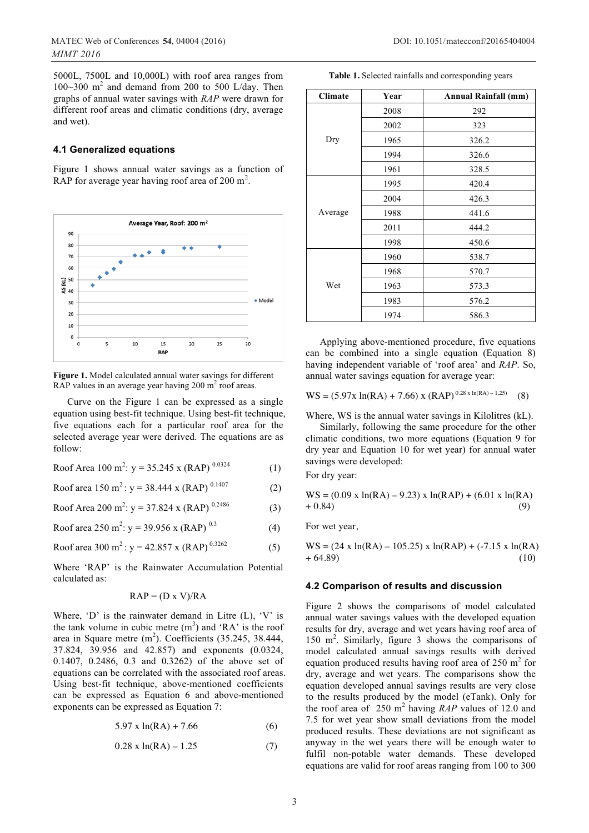5000L, 7500L and 10,000L) with roof area ranges from 100~300  $m^2$  and demand from 200 to 500 L/day. Then graphs of annual water savings with *RAP* were drawn for different roof areas and climatic conditions (dry, average and wet).

#### **4.1 Generalized equations**

Figure 1 shows annual water savings as a function of RAP for average year having roof area of 200  $m^2$ .



**Figure 1.** Model calculated annual water savings for different RAP values in an average year having  $200 \text{ m}^2$  roof areas.

Curve on the Figure 1 can be expressed as a single equation using best-fit technique. Using best-fit technique, five equations each for a particular roof area for the selected average year were derived. The equations are as follow:

Roof Area 100 m<sup>2</sup>:  $y = 35.245$  x (RAP)  $^{0.0324}$  (1)

$$
Root area 150 m2 : y = 38.444 x (RAP)0.1407
$$
 (2)

$$
Root Area 200 m2: y = 37.824 x (RAP)0.2486
$$
 (3)

Roof area 250 m<sup>2</sup> : y = 39.956 x (RAP) 0.3 (4)

$$
Root area 300 m2: y = 42.857 x (RAP)0.3262
$$
 (5)

Where 'RAP' is the Rainwater Accumulation Potential calculated as:

$$
RAP = (D \times V)/RA
$$

Where, 'D' is the rainwater demand in Litre  $(L)$ , 'V' is the tank volume in cubic metre  $(m^3)$  and 'RA' is the roof area in Square metre  $(m^2)$ . Coefficients (35.245, 38.444, 37.824, 39.956 and 42.857) and exponents (0.0324, 0.1407, 0.2486, 0.3 and 0.3262) of the above set of equations can be correlated with the associated roof areas. Using best-fit technique, above-mentioned coefficients can be expressed as Equation 6 and above-mentioned exponents can be expressed as Equation 7:

$$
5.97 \times \ln(RA) + 7.66 \tag{6}
$$

 $0.28 \times \ln(RA) - 1.25$  (7)

| Table 1. Selected rainfalls and corresponding years |  |
|-----------------------------------------------------|--|
|-----------------------------------------------------|--|

| <b>Climate</b> | Year | <b>Annual Rainfall (mm)</b> |
|----------------|------|-----------------------------|
| Dry            | 2008 | 292                         |
|                | 2002 | 323                         |
|                | 1965 | 326.2                       |
|                | 1994 | 326.6                       |
|                | 1961 | 328.5                       |
| Average        | 1995 | 420.4                       |
|                | 2004 | 426.3                       |
|                | 1988 | 441.6                       |
|                | 2011 | 444.2                       |
|                | 1998 | 450.6                       |
| Wet            | 1960 | 538.7                       |
|                | 1968 | 570.7                       |
|                | 1963 | 573.3                       |
|                | 1983 | 576.2                       |
|                | 1974 | 586.3                       |

Applying above-mentioned procedure, five equations can be combined into a single equation (Equation 8) having independent variable of 'roof area' and *RAP*. So, annual water savings equation for average year:

 $WS = (5.97x \ln(RA) + 7.66) x (RAP)^{0.28 x \ln(RA) - 1.25)$  (8)

Where, WS is the annual water savings in Kilolitres (kL).

Similarly, following the same procedure for the other climatic conditions, two more equations (Equation 9 for dry year and Equation 10 for wet year) for annual water savings were developed:

For dry year:

$$
WS = (0.09 \times \ln(RA) - 9.23) \times \ln(RAP) + (6.01 \times \ln(RA) + 0.84)
$$
\n(9)

For wet year,

 $WS = (24 \times \ln(RA) - 105.25) \times \ln(RAP) + (-7.15 \times \ln(RA))$  $+ 64.89$  (10)

#### **4.2 Comparison of results and discussion**

Figure 2 shows the comparisons of model calculated annual water savings values with the developed equation results for dry, average and wet years having roof area of 150 m<sup>2</sup> . Similarly, figure 3 shows the comparisons of model calculated annual savings results with derived equation produced results having roof area of  $250 \text{ m}^2$  for dry, average and wet years. The comparisons show the equation developed annual savings results are very close to the results produced by the model (eTank). Only for the roof area of  $250 \text{ m}^2$  having *RAP* values of 12.0 and 7.5 for wet year show small deviations from the model produced results. These deviations are not significant as anyway in the wet years there will be enough water to fulfil non-potable water demands. These developed equations are valid for roof areas ranging from 100 to 300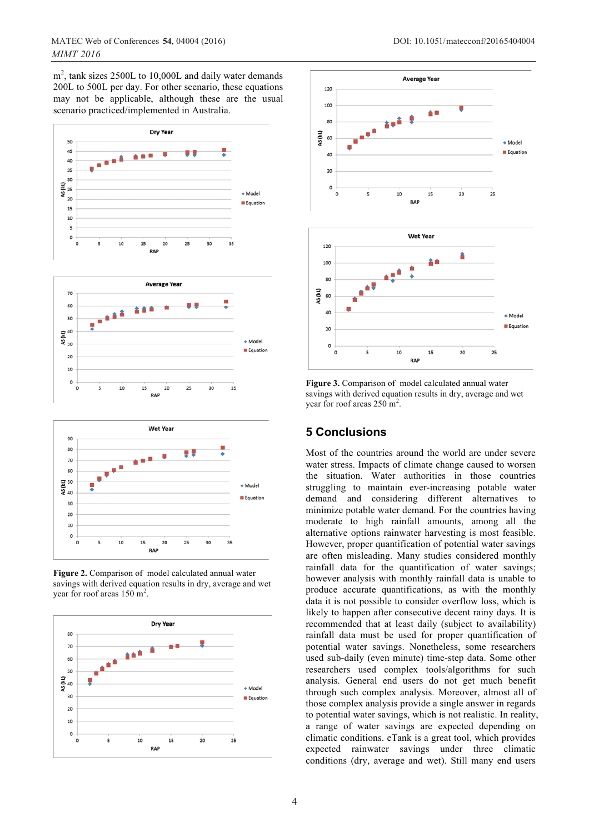$m<sup>2</sup>$ , tank sizes 2500L to 10,000L and daily water demands 200L to 500L per day. For other scenario, these equations may not be applicable, although these are the usual scenario practiced/implemented in Australia.







**Figure 2.** Comparison of model calculated annual water savings with derived equation results in dry, average and wet year for roof areas  $150 \text{ m}^2$ .





**Figure 3.** Comparison of model calculated annual water savings with derived equation results in dry, average and wet year for roof areas  $250 \text{ m}^2$ .

# **5 Conclusions**

Most of the countries around the world are under severe water stress. Impacts of climate change caused to worsen the situation. Water authorities in those countries struggling to maintain ever-increasing potable water demand and considering different alternatives to minimize potable water demand. For the countries having moderate to high rainfall amounts, among all the alternative options rainwater harvesting is most feasible. However, proper quantification of potential water savings are often misleading. Many studies considered monthly rainfall data for the quantification of water savings; however analysis with monthly rainfall data is unable to produce accurate quantifications, as with the monthly data it is not possible to consider overflow loss, which is likely to happen after consecutive decent rainy days. It is recommended that at least daily (subject to availability) rainfall data must be used for proper quantification of potential water savings. Nonetheless, some researchers used sub-daily (even minute) time-step data. Some other researchers used complex tools/algorithms for such analysis. General end users do not get much benefit through such complex analysis. Moreover, almost all of those complex analysis provide a single answer in regards to potential water savings, which is not realistic. In reality, a range of water savings are expected depending on climatic conditions. eTank is a great tool, which provides expected rainwater savings under three climatic conditions (dry, average and wet). Still many end users